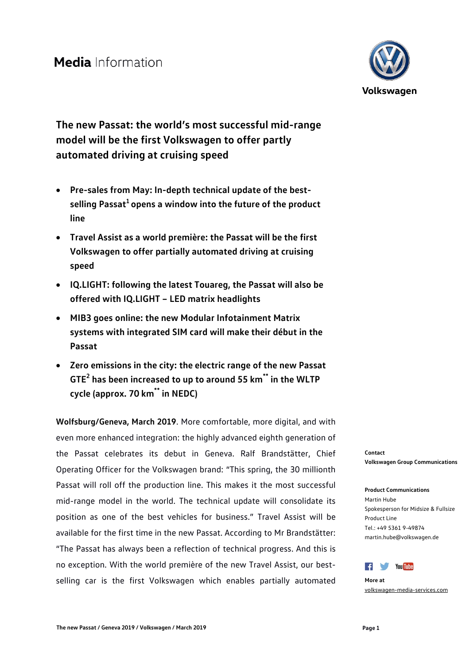

**The new Passat: the world's most successful mid-range model will be the first Volkswagen to offer partly automated driving at cruising speed**

- **Pre-sales from May: In-depth technical update of the best**selling Passat<sup>1</sup> opens a window into the future of the product **line**
- **Travel Assist as a world première: the Passat will be the first Volkswagen to offer partially automated driving at cruising speed**
- **IQ.LIGHT: following the latest Touareg, the Passat will also be offered with IQ.LIGHT – LED matrix headlights**
- **MIB3 goes online: the new Modular Infotainment Matrix systems with integrated SIM card will make their début in the Passat**
- **Zero emissions in the city: the electric range of the new Passat GTE2 has been increased to up to around 55 km\*\* in the WLTP cycle (approx. 70 km\*\* in NEDC)**

**Wolfsburg/Geneva, March 2019**. More comfortable, more digital, and with even more enhanced integration: the highly advanced eighth generation of the Passat celebrates its debut in Geneva. Ralf Brandstätter, Chief Operating Officer for the Volkswagen brand: "This spring, the 30 millionth Passat will roll off the production line. This makes it the most successful mid-range model in the world. The technical update will consolidate its position as one of the best vehicles for business." Travel Assist will be available for the first time in the new Passat. According to Mr Brandstätter: "The Passat has always been a reflection of technical progress. And this is no exception. With the world première of the new Travel Assist, our bestselling car is the first Volkswagen which enables partially automated

**Contact Volkswagen Group Communications**

**Product Communications** Martin Hube Spokesperson for Midsize & Fullsize Product Line Tel.: +49 5361 9-49874 martin.hube@volkswagen.de



**More at** [volkswagen-media-services.com](https://www.volkswagen-media-services.com/)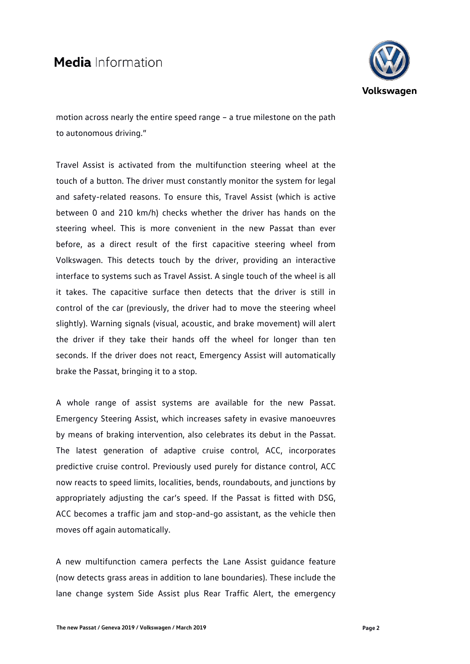

motion across nearly the entire speed range – a true milestone on the path to autonomous driving."

Travel Assist is activated from the multifunction steering wheel at the touch of a button. The driver must constantly monitor the system for legal and safety-related reasons. To ensure this, Travel Assist (which is active between 0 and 210 km/h) checks whether the driver has hands on the steering wheel. This is more convenient in the new Passat than ever before, as a direct result of the first capacitive steering wheel from Volkswagen. This detects touch by the driver, providing an interactive interface to systems such as Travel Assist. A single touch of the wheel is all it takes. The capacitive surface then detects that the driver is still in control of the car (previously, the driver had to move the steering wheel slightly). Warning signals (visual, acoustic, and brake movement) will alert the driver if they take their hands off the wheel for longer than ten seconds. If the driver does not react, Emergency Assist will automatically brake the Passat, bringing it to a stop.

A whole range of assist systems are available for the new Passat. Emergency Steering Assist, which increases safety in evasive manoeuvres by means of braking intervention, also celebrates its debut in the Passat. The latest generation of adaptive cruise control, ACC, incorporates predictive cruise control. Previously used purely for distance control, ACC now reacts to speed limits, localities, bends, roundabouts, and junctions by appropriately adjusting the car's speed. If the Passat is fitted with DSG, ACC becomes a traffic jam and stop-and-go assistant, as the vehicle then moves off again automatically.

A new multifunction camera perfects the Lane Assist guidance feature (now detects grass areas in addition to lane boundaries). These include the lane change system Side Assist plus Rear Traffic Alert, the emergency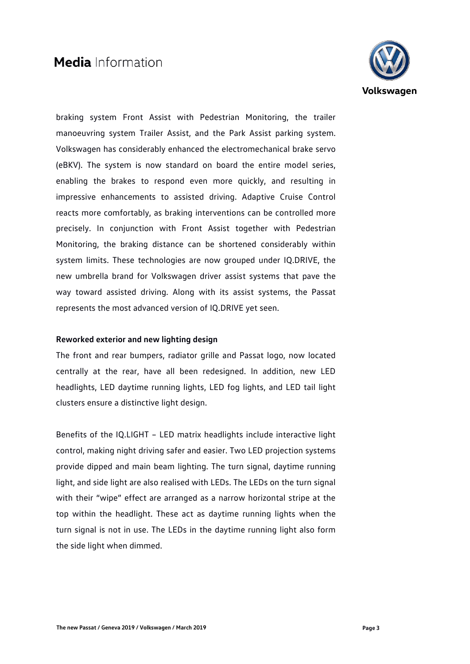

braking system Front Assist with Pedestrian Monitoring, the trailer manoeuvring system Trailer Assist, and the Park Assist parking system. Volkswagen has considerably enhanced the electromechanical brake servo (eBKV). The system is now standard on board the entire model series, enabling the brakes to respond even more quickly, and resulting in impressive enhancements to assisted driving. Adaptive Cruise Control reacts more comfortably, as braking interventions can be controlled more precisely. In conjunction with Front Assist together with Pedestrian Monitoring, the braking distance can be shortened considerably within system limits. These technologies are now grouped under IQ.DRIVE, the new umbrella brand for Volkswagen driver assist systems that pave the way toward assisted driving. Along with its assist systems, the Passat represents the most advanced version of IQ.DRIVE yet seen.

### **Reworked exterior and new lighting design**

The front and rear bumpers, radiator grille and Passat logo, now located centrally at the rear, have all been redesigned. In addition, new LED headlights, LED daytime running lights, LED fog lights, and LED tail light clusters ensure a distinctive light design.

Benefits of the IQ.LIGHT – LED matrix headlights include interactive light control, making night driving safer and easier. Two LED projection systems provide dipped and main beam lighting. The turn signal, daytime running light, and side light are also realised with LEDs. The LEDs on the turn signal with their "wipe" effect are arranged as a narrow horizontal stripe at the top within the headlight. These act as daytime running lights when the turn signal is not in use. The LEDs in the daytime running light also form the side light when dimmed.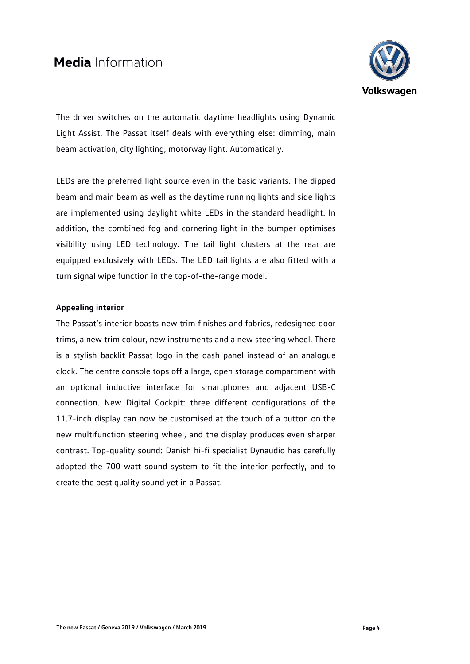

The driver switches on the automatic daytime headlights using Dynamic Light Assist. The Passat itself deals with everything else: dimming, main beam activation, city lighting, motorway light. Automatically.

LEDs are the preferred light source even in the basic variants. The dipped beam and main beam as well as the daytime running lights and side lights are implemented using daylight white LEDs in the standard headlight. In addition, the combined fog and cornering light in the bumper optimises visibility using LED technology. The tail light clusters at the rear are equipped exclusively with LEDs. The LED tail lights are also fitted with a turn signal wipe function in the top-of-the-range model.

# **Appealing interior**

The Passat's interior boasts new trim finishes and fabrics, redesigned door trims, a new trim colour, new instruments and a new steering wheel. There is a stylish backlit Passat logo in the dash panel instead of an analogue clock. The centre console tops off a large, open storage compartment with an optional inductive interface for smartphones and adjacent USB-C connection. New Digital Cockpit: three different configurations of the 11.7-inch display can now be customised at the touch of a button on the new multifunction steering wheel, and the display produces even sharper contrast. Top-quality sound: Danish hi-fi specialist Dynaudio has carefully adapted the 700-watt sound system to fit the interior perfectly, and to create the best quality sound yet in a Passat.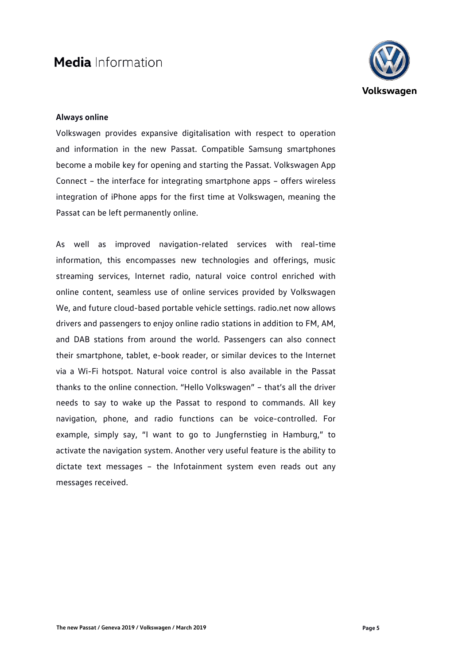

## **Always online**

Volkswagen provides expansive digitalisation with respect to operation and information in the new Passat. Compatible Samsung smartphones become a mobile key for opening and starting the Passat. Volkswagen App Connect – the interface for integrating smartphone apps – offers wireless integration of iPhone apps for the first time at Volkswagen, meaning the Passat can be left permanently online.

As well as improved navigation-related services with real-time information, this encompasses new technologies and offerings, music streaming services, Internet radio, natural voice control enriched with online content, seamless use of online services provided by Volkswagen We, and future cloud-based portable vehicle settings. radio.net now allows drivers and passengers to enjoy online radio stations in addition to FM, AM, and DAB stations from around the world. Passengers can also connect their smartphone, tablet, e-book reader, or similar devices to the Internet via a Wi-Fi hotspot. Natural voice control is also available in the Passat thanks to the online connection. "Hello Volkswagen" – that's all the driver needs to say to wake up the Passat to respond to commands. All key navigation, phone, and radio functions can be voice-controlled. For example, simply say, "I want to go to Jungfernstieg in Hamburg," to activate the navigation system. Another very useful feature is the ability to dictate text messages – the Infotainment system even reads out any messages received.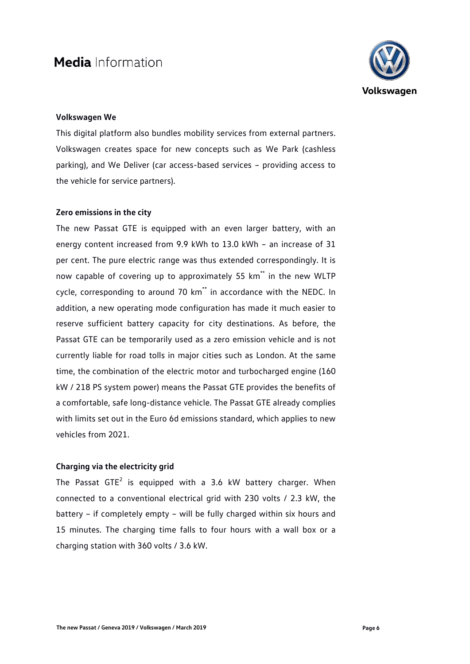

## **Volkswagen We**

This digital platform also bundles mobility services from external partners. Volkswagen creates space for new concepts such as We Park (cashless parking), and We Deliver (car access-based services – providing access to the vehicle for service partners).

#### **Zero emissions in the city**

The new Passat GTE is equipped with an even larger battery, with an energy content increased from 9.9 kWh to 13.0 kWh – an increase of 31 per cent. The pure electric range was thus extended correspondingly. It is now capable of covering up to approximately 55 km<sup>\*\*</sup> in the new WLTP cycle, corresponding to around 70 km<sup>\*\*</sup> in accordance with the NEDC. In addition, a new operating mode configuration has made it much easier to reserve sufficient battery capacity for city destinations. As before, the Passat GTE can be temporarily used as a zero emission vehicle and is not currently liable for road tolls in major cities such as London. At the same time, the combination of the electric motor and turbocharged engine (160 kW / 218 PS system power) means the Passat GTE provides the benefits of a comfortable, safe long-distance vehicle. The Passat GTE already complies with limits set out in the Euro 6d emissions standard, which applies to new vehicles from 2021.

## **Charging via the electricity grid**

The Passat  $GTE<sup>2</sup>$  is equipped with a 3.6 kW battery charger. When connected to a conventional electrical grid with 230 volts / 2.3 kW, the battery – if completely empty – will be fully charged within six hours and 15 minutes. The charging time falls to four hours with a wall box or a charging station with 360 volts / 3.6 kW.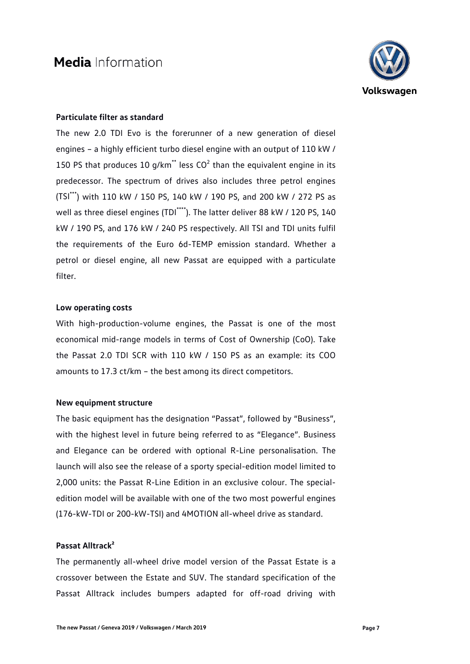

## **Particulate filter as standard**

The new 2.0 TDI Evo is the forerunner of a new generation of diesel engines – a highly efficient turbo diesel engine with an output of 110 kW / 150 PS that produces 10 g/km\*\* less  $CO<sup>2</sup>$  than the equivalent engine in its predecessor. The spectrum of drives also includes three petrol engines (TSI\*\*\*) with 110 kW / 150 PS, 140 kW / 190 PS, and 200 kW / 272 PS as well as three diesel engines (TDI\*\*\*\*). The latter deliver 88 kW / 120 PS, 140 kW / 190 PS, and 176 kW / 240 PS respectively. All TSI and TDI units fulfil the requirements of the Euro 6d-TEMP emission standard. Whether a petrol or diesel engine, all new Passat are equipped with a particulate filter.

#### **Low operating costs**

With high-production-volume engines, the Passat is one of the most economical mid-range models in terms of Cost of Ownership (CoO). Take the Passat 2.0 TDI SCR with 110 kW / 150 PS as an example: its COO amounts to 17.3 ct/km – the best among its direct competitors.

### **New equipment structure**

The basic equipment has the designation "Passat", followed by "Business", with the highest level in future being referred to as "Elegance". Business and Elegance can be ordered with optional R-Line personalisation. The launch will also see the release of a sporty special-edition model limited to 2,000 units: the Passat R-Line Edition in an exclusive colour. The specialedition model will be available with one of the two most powerful engines (176-kW-TDI or 200-kW-TSI) and 4MOTION all-wheel drive as standard.

### **Passat Alltrack²**

The permanently all-wheel drive model version of the Passat Estate is a crossover between the Estate and SUV. The standard specification of the Passat Alltrack includes bumpers adapted for off-road driving with